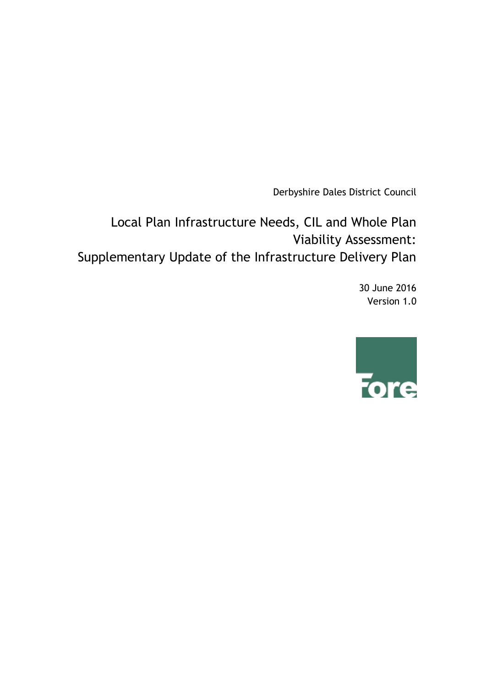Derbyshire Dales District Council

Local Plan Infrastructure Needs, CIL and Whole Plan Viability Assessment: Supplementary Update of the Infrastructure Delivery Plan

> 30 June 2016 Version 1.0

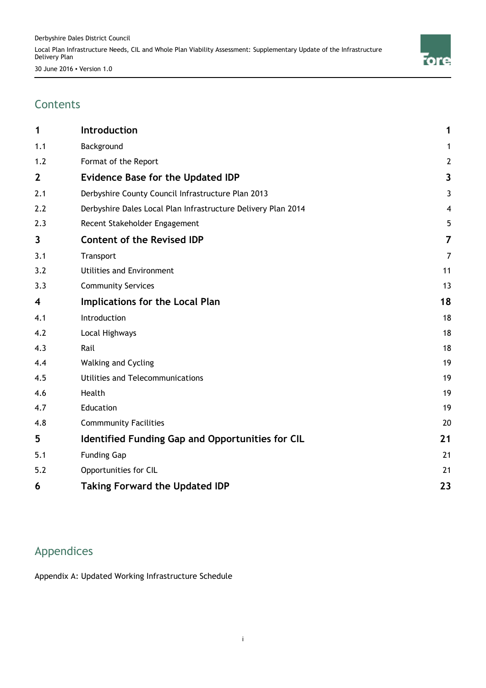

## **Contents**

| 1            | Introduction                                                  | 1                       |
|--------------|---------------------------------------------------------------|-------------------------|
| 1.1          | Background                                                    | 1                       |
| 1.2          | Format of the Report                                          | $\overline{2}$          |
| $\mathbf{2}$ | <b>Evidence Base for the Updated IDP</b>                      | $\overline{\mathbf{3}}$ |
| 2.1          | Derbyshire County Council Infrastructure Plan 2013            | 3                       |
| 2.2          | Derbyshire Dales Local Plan Infrastructure Delivery Plan 2014 | $\overline{\mathbf{4}}$ |
| 2.3          | Recent Stakeholder Engagement                                 | 5                       |
| 3            | <b>Content of the Revised IDP</b>                             | 7                       |
| 3.1          | Transport                                                     | 7                       |
| 3.2          | Utilities and Environment                                     | 11                      |
| 3.3          | <b>Community Services</b>                                     | 13                      |
| 4            | Implications for the Local Plan                               | 18                      |
| 4.1          | Introduction                                                  | 18                      |
| 4.2          | Local Highways                                                | 18                      |
| 4.3          | Rail                                                          | 18                      |
| 4.4          | Walking and Cycling                                           | 19                      |
| 4.5          | Utilities and Telecommunications                              | 19                      |
| 4.6          | Health                                                        | 19                      |
| 4.7          | Education                                                     | 19                      |
| 4.8          | <b>Commmunity Facilities</b>                                  | 20                      |
| 5            | Identified Funding Gap and Opportunities for CIL              | 21                      |
| 5.1          | <b>Funding Gap</b>                                            | 21                      |
| 5.2          | Opportunities for CIL                                         | 21                      |
| 6            | <b>Taking Forward the Updated IDP</b>                         | 23                      |

## Appendices

Appendix A: Updated Working Infrastructure Schedule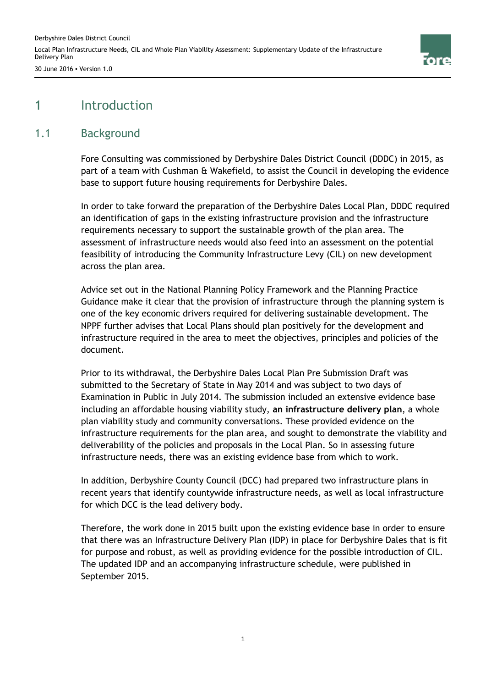

## 1 Introduction

#### 1.1 Background

Fore Consulting was commissioned by Derbyshire Dales District Council (DDDC) in 2015, as part of a team with Cushman & Wakefield, to assist the Council in developing the evidence base to support future housing requirements for Derbyshire Dales.

In order to take forward the preparation of the Derbyshire Dales Local Plan, DDDC required an identification of gaps in the existing infrastructure provision and the infrastructure requirements necessary to support the sustainable growth of the plan area. The assessment of infrastructure needs would also feed into an assessment on the potential feasibility of introducing the Community Infrastructure Levy (CIL) on new development across the plan area.

Advice set out in the National Planning Policy Framework and the Planning Practice Guidance make it clear that the provision of infrastructure through the planning system is one of the key economic drivers required for delivering sustainable development. The NPPF further advises that Local Plans should plan positively for the development and infrastructure required in the area to meet the objectives, principles and policies of the document.

Prior to its withdrawal, the Derbyshire Dales Local Plan Pre Submission Draft was submitted to the Secretary of State in May 2014 and was subject to two days of Examination in Public in July 2014. The submission included an extensive evidence base including an affordable housing viability study, **an infrastructure delivery plan**, a whole plan viability study and community conversations. These provided evidence on the infrastructure requirements for the plan area, and sought to demonstrate the viability and deliverability of the policies and proposals in the Local Plan. So in assessing future infrastructure needs, there was an existing evidence base from which to work.

In addition, Derbyshire County Council (DCC) had prepared two infrastructure plans in recent years that identify countywide infrastructure needs, as well as local infrastructure for which DCC is the lead delivery body.

Therefore, the work done in 2015 built upon the existing evidence base in order to ensure that there was an Infrastructure Delivery Plan (IDP) in place for Derbyshire Dales that is fit for purpose and robust, as well as providing evidence for the possible introduction of CIL. The updated IDP and an accompanying infrastructure schedule, were published in September 2015.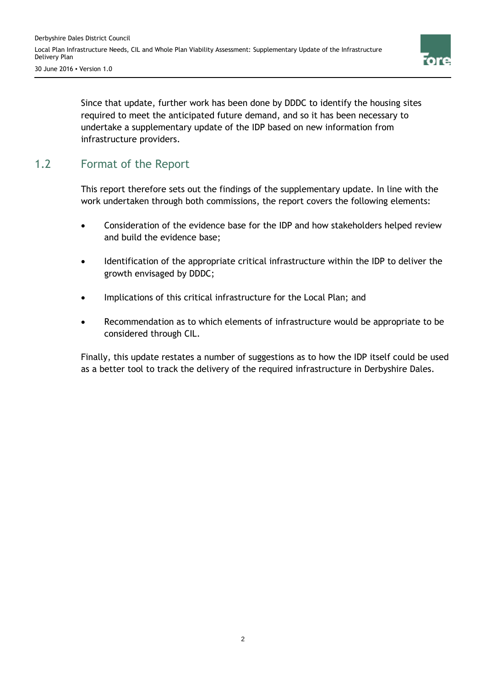

Since that update, further work has been done by DDDC to identify the housing sites required to meet the anticipated future demand, and so it has been necessary to undertake a supplementary update of the IDP based on new information from infrastructure providers.

## 1.2 Format of the Report

This report therefore sets out the findings of the supplementary update. In line with the work undertaken through both commissions, the report covers the following elements:

- Consideration of the evidence base for the IDP and how stakeholders helped review and build the evidence base;
- Identification of the appropriate critical infrastructure within the IDP to deliver the growth envisaged by DDDC;
- Implications of this critical infrastructure for the Local Plan; and
- Recommendation as to which elements of infrastructure would be appropriate to be considered through CIL.

Finally, this update restates a number of suggestions as to how the IDP itself could be used as a better tool to track the delivery of the required infrastructure in Derbyshire Dales.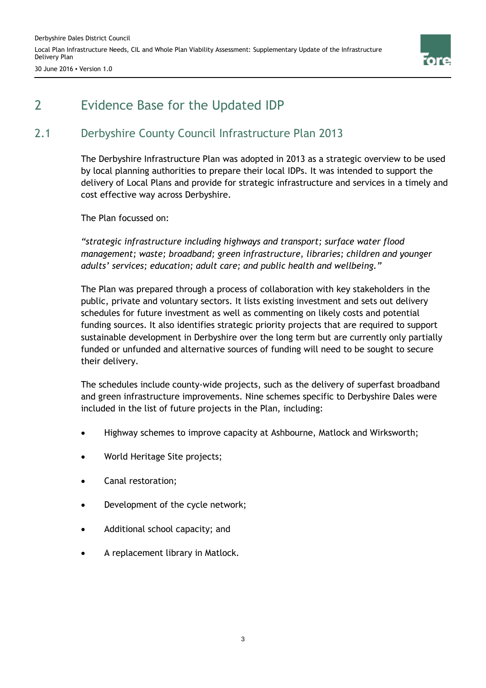

## 2 Evidence Base for the Updated IDP

## 2.1 Derbyshire County Council Infrastructure Plan 2013

The Derbyshire Infrastructure Plan was adopted in 2013 as a strategic overview to be used by local planning authorities to prepare their local IDPs. It was intended to support the delivery of Local Plans and provide for strategic infrastructure and services in a timely and cost effective way across Derbyshire.

The Plan focussed on:

*"strategic infrastructure including highways and transport; surface water flood management; waste; broadband; green infrastructure, libraries; children and younger adults' services; education; adult care; and public health and wellbeing."* 

The Plan was prepared through a process of collaboration with key stakeholders in the public, private and voluntary sectors. It lists existing investment and sets out delivery schedules for future investment as well as commenting on likely costs and potential funding sources. It also identifies strategic priority projects that are required to support sustainable development in Derbyshire over the long term but are currently only partially funded or unfunded and alternative sources of funding will need to be sought to secure their delivery.

The schedules include county-wide projects, such as the delivery of superfast broadband and green infrastructure improvements. Nine schemes specific to Derbyshire Dales were included in the list of future projects in the Plan, including:

- Highway schemes to improve capacity at Ashbourne, Matlock and Wirksworth;
- World Heritage Site projects;
- Canal restoration;
- Development of the cycle network;
- Additional school capacity; and
- A replacement library in Matlock.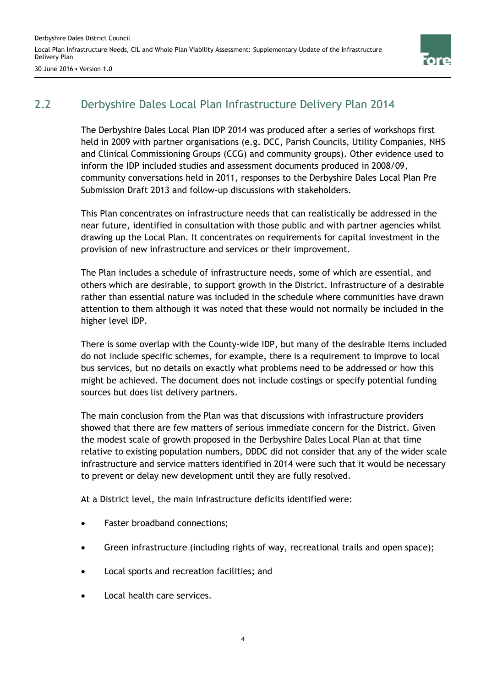

30 June 2016 ▪ Version 1.0

## 2.2 Derbyshire Dales Local Plan Infrastructure Delivery Plan 2014

The Derbyshire Dales Local Plan IDP 2014 was produced after a series of workshops first held in 2009 with partner organisations (e.g. DCC, Parish Councils, Utility Companies, NHS and Clinical Commissioning Groups (CCG) and community groups). Other evidence used to inform the IDP included studies and assessment documents produced in 2008/09, community conversations held in 2011, responses to the Derbyshire Dales Local Plan Pre Submission Draft 2013 and follow-up discussions with stakeholders.

This Plan concentrates on infrastructure needs that can realistically be addressed in the near future, identified in consultation with those public and with partner agencies whilst drawing up the Local Plan. It concentrates on requirements for capital investment in the provision of new infrastructure and services or their improvement.

The Plan includes a schedule of infrastructure needs, some of which are essential, and others which are desirable, to support growth in the District. Infrastructure of a desirable rather than essential nature was included in the schedule where communities have drawn attention to them although it was noted that these would not normally be included in the higher level IDP.

There is some overlap with the County-wide IDP, but many of the desirable items included do not include specific schemes, for example, there is a requirement to improve to local bus services, but no details on exactly what problems need to be addressed or how this might be achieved. The document does not include costings or specify potential funding sources but does list delivery partners.

The main conclusion from the Plan was that discussions with infrastructure providers showed that there are few matters of serious immediate concern for the District. Given the modest scale of growth proposed in the Derbyshire Dales Local Plan at that time relative to existing population numbers, DDDC did not consider that any of the wider scale infrastructure and service matters identified in 2014 were such that it would be necessary to prevent or delay new development until they are fully resolved.

At a District level, the main infrastructure deficits identified were:

- Faster broadband connections:
- Green infrastructure (including rights of way, recreational trails and open space);
- Local sports and recreation facilities; and
- Local health care services.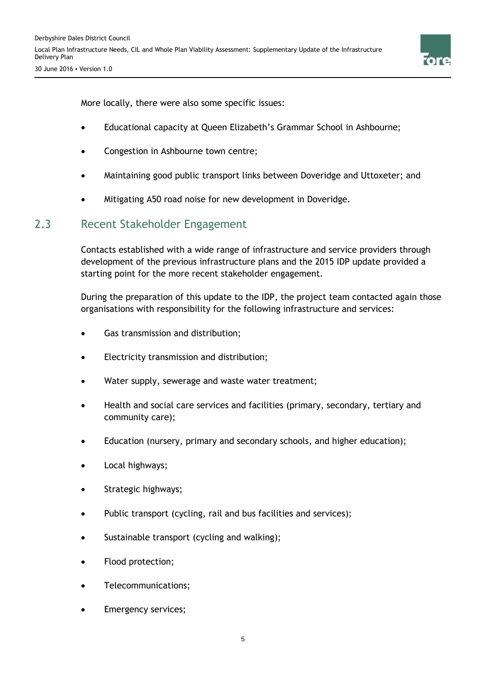

More locally, there were also some specific issues:

- Educational capacity at Queen Elizabeth's Grammar School in Ashbourne;
- Congestion in Ashbourne town centre;
- Maintaining good public transport links between Doveridge and Uttoxeter; and
- Mitigating A50 road noise for new development in Doveridge.

### 2.3 Recent Stakeholder Engagement

Contacts established with a wide range of infrastructure and service providers through development of the previous infrastructure plans and the 2015 IDP update provided a starting point for the more recent stakeholder engagement.

During the preparation of this update to the IDP, the project team contacted again those organisations with responsibility for the following infrastructure and services:

- Gas transmission and distribution;
- Electricity transmission and distribution;
- Water supply, sewerage and waste water treatment;
- Health and social care services and facilities (primary, secondary, tertiary and community care);
- Education (nursery, primary and secondary schools, and higher education);
- Local highways;
- Strategic highways;
- Public transport (cycling, rail and bus facilities and services);
- Sustainable transport (cycling and walking);
- Flood protection;
- Telecommunications;
- Emergency services;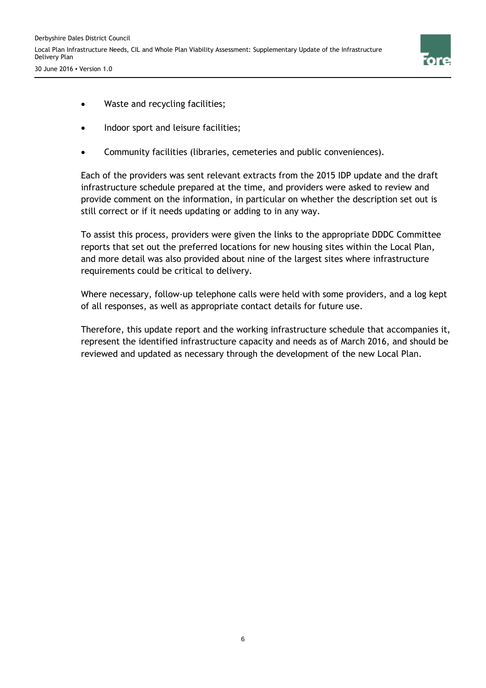

- Waste and recycling facilities;
- Indoor sport and leisure facilities;
- Community facilities (libraries, cemeteries and public conveniences).

Each of the providers was sent relevant extracts from the 2015 IDP update and the draft infrastructure schedule prepared at the time, and providers were asked to review and provide comment on the information, in particular on whether the description set out is still correct or if it needs updating or adding to in any way.

To assist this process, providers were given the links to the appropriate DDDC Committee reports that set out the preferred locations for new housing sites within the Local Plan, and more detail was also provided about nine of the largest sites where infrastructure requirements could be critical to delivery.

Where necessary, follow-up telephone calls were held with some providers, and a log kept of all responses, as well as appropriate contact details for future use.

Therefore, this update report and the working infrastructure schedule that accompanies it, represent the identified infrastructure capacity and needs as of March 2016, and should be reviewed and updated as necessary through the development of the new Local Plan.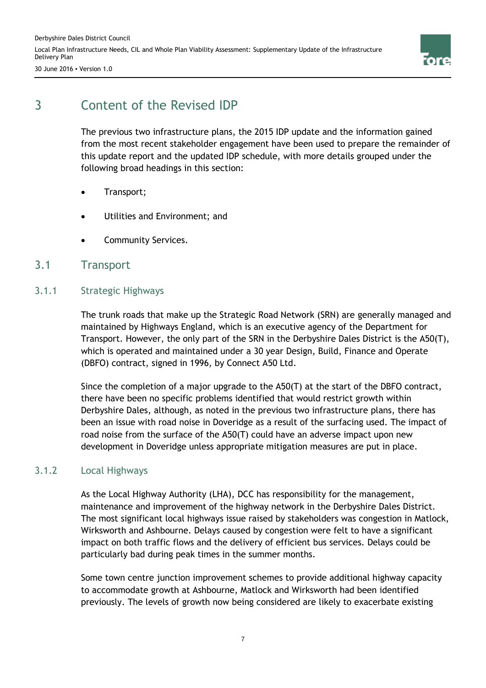Derbyshire Dales District Council Local Plan Infrastructure Needs, CIL and Whole Plan Viability Assessment: Supplementary Update of the Infrastructure Delivery Plan



30 June 2016 ▪ Version 1.0

## 3 Content of the Revised IDP

The previous two infrastructure plans, the 2015 IDP update and the information gained from the most recent stakeholder engagement have been used to prepare the remainder of this update report and the updated IDP schedule, with more details grouped under the following broad headings in this section:

- Transport;
- Utilities and Environment; and
- Community Services.

#### 3.1 Transport

#### 3.1.1 Strategic Highways

The trunk roads that make up the Strategic Road Network (SRN) are generally managed and maintained by Highways England, which is an executive agency of the Department for Transport. However, the only part of the SRN in the Derbyshire Dales District is the A50(T), which is operated and maintained under a 30 year Design, Build, Finance and Operate (DBFO) contract, signed in 1996, by Connect A50 Ltd.

Since the completion of a major upgrade to the A50(T) at the start of the DBFO contract, there have been no specific problems identified that would restrict growth within Derbyshire Dales, although, as noted in the previous two infrastructure plans, there has been an issue with road noise in Doveridge as a result of the surfacing used. The impact of road noise from the surface of the A50(T) could have an adverse impact upon new development in Doveridge unless appropriate mitigation measures are put in place.

#### 3.1.2 Local Highways

As the Local Highway Authority (LHA), DCC has responsibility for the management, maintenance and improvement of the highway network in the Derbyshire Dales District. The most significant local highways issue raised by stakeholders was congestion in Matlock, Wirksworth and Ashbourne. Delays caused by congestion were felt to have a significant impact on both traffic flows and the delivery of efficient bus services. Delays could be particularly bad during peak times in the summer months.

Some town centre junction improvement schemes to provide additional highway capacity to accommodate growth at Ashbourne, Matlock and Wirksworth had been identified previously. The levels of growth now being considered are likely to exacerbate existing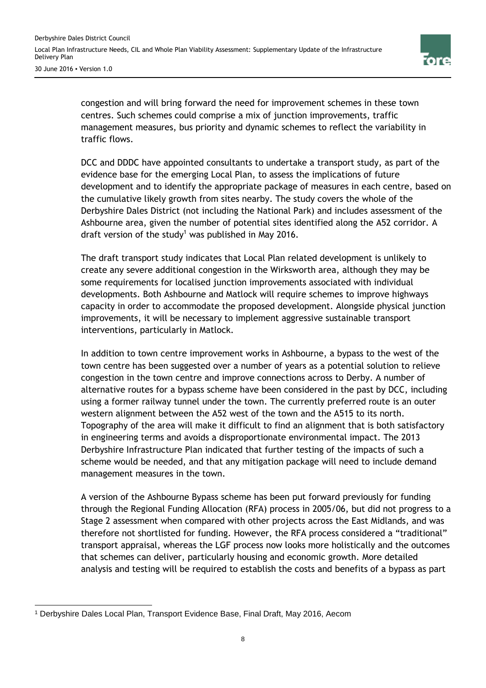

congestion and will bring forward the need for improvement schemes in these town centres. Such schemes could comprise a mix of junction improvements, traffic management measures, bus priority and dynamic schemes to reflect the variability in traffic flows.

DCC and DDDC have appointed consultants to undertake a transport study, as part of the evidence base for the emerging Local Plan, to assess the implications of future development and to identify the appropriate package of measures in each centre, based on the cumulative likely growth from sites nearby. The study covers the whole of the Derbyshire Dales District (not including the National Park) and includes assessment of the Ashbourne area, given the number of potential sites identified along the A52 corridor. A draft version of the study<sup>1</sup> was published in May 2016.

The draft transport study indicates that Local Plan related development is unlikely to create any severe additional congestion in the Wirksworth area, although they may be some requirements for localised junction improvements associated with individual developments. Both Ashbourne and Matlock will require schemes to improve highways capacity in order to accommodate the proposed development. Alongside physical junction improvements, it will be necessary to implement aggressive sustainable transport interventions, particularly in Matlock.

In addition to town centre improvement works in Ashbourne, a bypass to the west of the town centre has been suggested over a number of years as a potential solution to relieve congestion in the town centre and improve connections across to Derby. A number of alternative routes for a bypass scheme have been considered in the past by DCC, including using a former railway tunnel under the town. The currently preferred route is an outer western alignment between the A52 west of the town and the A515 to its north. Topography of the area will make it difficult to find an alignment that is both satisfactory in engineering terms and avoids a disproportionate environmental impact. The 2013 Derbyshire Infrastructure Plan indicated that further testing of the impacts of such a scheme would be needed, and that any mitigation package will need to include demand management measures in the town.

A version of the Ashbourne Bypass scheme has been put forward previously for funding through the Regional Funding Allocation (RFA) process in 2005/06, but did not progress to a Stage 2 assessment when compared with other projects across the East Midlands, and was therefore not shortlisted for funding. However, the RFA process considered a "traditional" transport appraisal, whereas the LGF process now looks more holistically and the outcomes that schemes can deliver, particularly housing and economic growth. More detailed analysis and testing will be required to establish the costs and benefits of a bypass as part

 <sup>1</sup> Derbyshire Dales Local Plan, Transport Evidence Base, Final Draft, May 2016, Aecom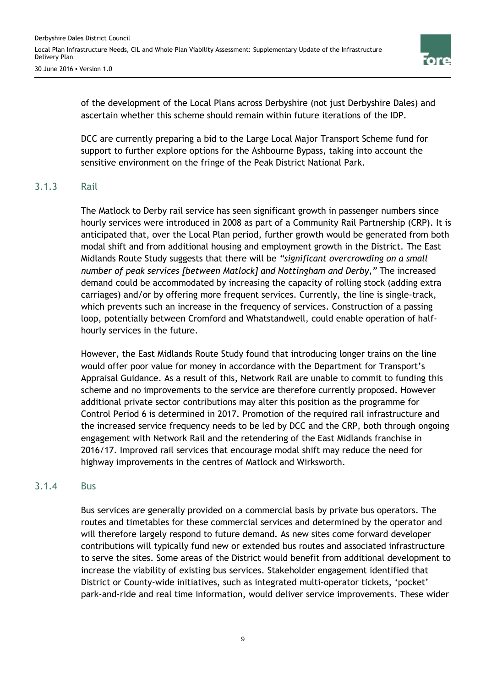

of the development of the Local Plans across Derbyshire (not just Derbyshire Dales) and ascertain whether this scheme should remain within future iterations of the IDP.

DCC are currently preparing a bid to the Large Local Major Transport Scheme fund for support to further explore options for the Ashbourne Bypass, taking into account the sensitive environment on the fringe of the Peak District National Park.

#### 3.1.3 Rail

The Matlock to Derby rail service has seen significant growth in passenger numbers since hourly services were introduced in 2008 as part of a Community Rail Partnership (CRP). It is anticipated that, over the Local Plan period, further growth would be generated from both modal shift and from additional housing and employment growth in the District. The East Midlands Route Study suggests that there will be *"significant overcrowding on a small number of peak services [between Matlock] and Nottingham and Derby,"* The increased demand could be accommodated by increasing the capacity of rolling stock (adding extra carriages) and/or by offering more frequent services. Currently, the line is single-track, which prevents such an increase in the frequency of services. Construction of a passing loop, potentially between Cromford and Whatstandwell, could enable operation of halfhourly services in the future.

However, the East Midlands Route Study found that introducing longer trains on the line would offer poor value for money in accordance with the Department for Transport's Appraisal Guidance. As a result of this, Network Rail are unable to commit to funding this scheme and no improvements to the service are therefore currently proposed. However additional private sector contributions may alter this position as the programme for Control Period 6 is determined in 2017. Promotion of the required rail infrastructure and the increased service frequency needs to be led by DCC and the CRP, both through ongoing engagement with Network Rail and the retendering of the East Midlands franchise in 2016/17. Improved rail services that encourage modal shift may reduce the need for highway improvements in the centres of Matlock and Wirksworth.

#### 3.1.4 Bus

Bus services are generally provided on a commercial basis by private bus operators. The routes and timetables for these commercial services and determined by the operator and will therefore largely respond to future demand. As new sites come forward developer contributions will typically fund new or extended bus routes and associated infrastructure to serve the sites. Some areas of the District would benefit from additional development to increase the viability of existing bus services. Stakeholder engagement identified that District or County-wide initiatives, such as integrated multi-operator tickets, 'pocket' park-and-ride and real time information, would deliver service improvements. These wider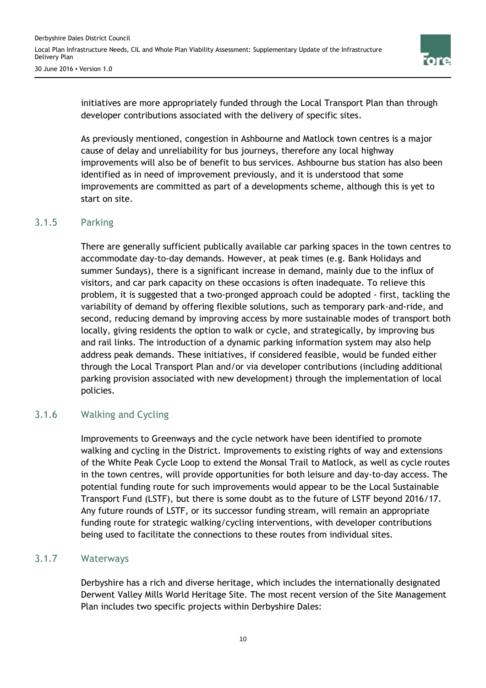

initiatives are more appropriately funded through the Local Transport Plan than through developer contributions associated with the delivery of specific sites.

As previously mentioned, congestion in Ashbourne and Matlock town centres is a major cause of delay and unreliability for bus journeys, therefore any local highway improvements will also be of benefit to bus services. Ashbourne bus station has also been identified as in need of improvement previously, and it is understood that some improvements are committed as part of a developments scheme, although this is yet to start on site.

#### 3.1.5 Parking

There are generally sufficient publically available car parking spaces in the town centres to accommodate day-to-day demands. However, at peak times (e.g. Bank Holidays and summer Sundays), there is a significant increase in demand, mainly due to the influx of visitors, and car park capacity on these occasions is often inadequate. To relieve this problem, it is suggested that a two-pronged approach could be adopted - first, tackling the variability of demand by offering flexible solutions, such as temporary park-and-ride, and second, reducing demand by improving access by more sustainable modes of transport both locally, giving residents the option to walk or cycle, and strategically, by improving bus and rail links. The introduction of a dynamic parking information system may also help address peak demands. These initiatives, if considered feasible, would be funded either through the Local Transport Plan and/or via developer contributions (including additional parking provision associated with new development) through the implementation of local policies.

#### 3.1.6 Walking and Cycling

Improvements to Greenways and the cycle network have been identified to promote walking and cycling in the District. Improvements to existing rights of way and extensions of the White Peak Cycle Loop to extend the Monsal Trail to Matlock, as well as cycle routes in the town centres, will provide opportunities for both leisure and day-to-day access. The potential funding route for such improvements would appear to be the Local Sustainable Transport Fund (LSTF), but there is some doubt as to the future of LSTF beyond 2016/17. Any future rounds of LSTF, or its successor funding stream, will remain an appropriate funding route for strategic walking/cycling interventions, with developer contributions being used to facilitate the connections to these routes from individual sites.

#### 3.1.7 Waterways

Derbyshire has a rich and diverse heritage, which includes the internationally designated Derwent Valley Mills World Heritage Site. The most recent version of the Site Management Plan includes two specific projects within Derbyshire Dales: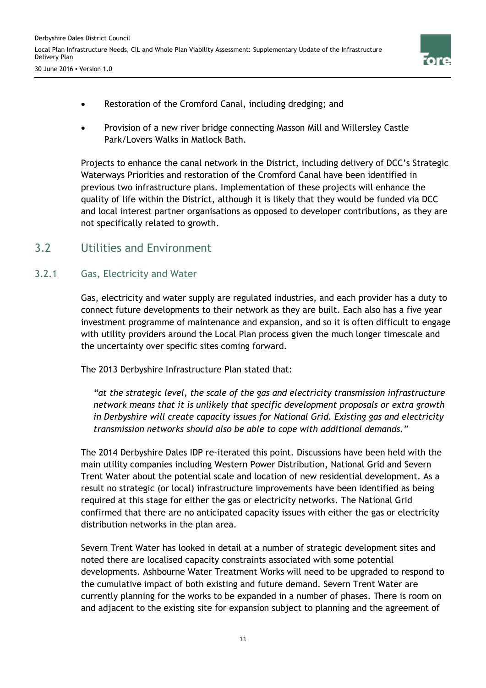

- Restoration of the Cromford Canal, including dredging; and
- Provision of a new river bridge connecting Masson Mill and Willersley Castle Park/Lovers Walks in Matlock Bath.

Projects to enhance the canal network in the District, including delivery of DCC's Strategic Waterways Priorities and restoration of the Cromford Canal have been identified in previous two infrastructure plans. Implementation of these projects will enhance the quality of life within the District, although it is likely that they would be funded via DCC and local interest partner organisations as opposed to developer contributions, as they are not specifically related to growth.

## 3.2 Utilities and Environment

#### 3.2.1 Gas, Electricity and Water

Gas, electricity and water supply are regulated industries, and each provider has a duty to connect future developments to their network as they are built. Each also has a five year investment programme of maintenance and expansion, and so it is often difficult to engage with utility providers around the Local Plan process given the much longer timescale and the uncertainty over specific sites coming forward.

The 2013 Derbyshire Infrastructure Plan stated that:

*"at the strategic level, the scale of the gas and electricity transmission infrastructure network means that it is unlikely that specific development proposals or extra growth in Derbyshire will create capacity issues for National Grid. Existing gas and electricity transmission networks should also be able to cope with additional demands."*

The 2014 Derbyshire Dales IDP re-iterated this point. Discussions have been held with the main utility companies including Western Power Distribution, National Grid and Severn Trent Water about the potential scale and location of new residential development. As a result no strategic (or local) infrastructure improvements have been identified as being required at this stage for either the gas or electricity networks. The National Grid confirmed that there are no anticipated capacity issues with either the gas or electricity distribution networks in the plan area.

Severn Trent Water has looked in detail at a number of strategic development sites and noted there are localised capacity constraints associated with some potential developments. Ashbourne Water Treatment Works will need to be upgraded to respond to the cumulative impact of both existing and future demand. Severn Trent Water are currently planning for the works to be expanded in a number of phases. There is room on and adjacent to the existing site for expansion subject to planning and the agreement of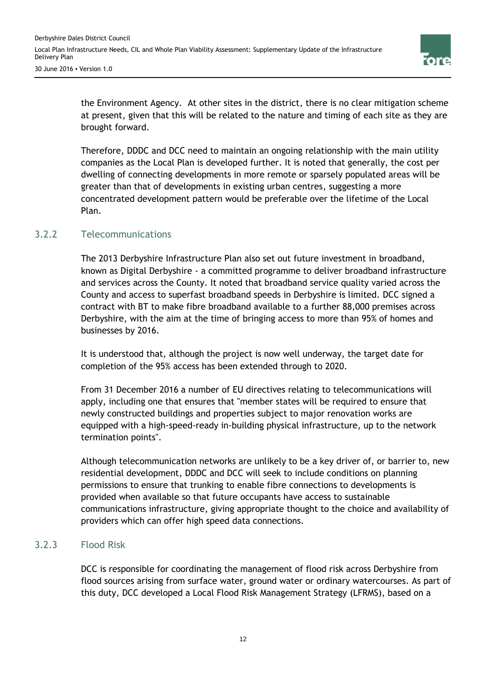

the Environment Agency. At other sites in the district, there is no clear mitigation scheme at present, given that this will be related to the nature and timing of each site as they are brought forward.

Therefore, DDDC and DCC need to maintain an ongoing relationship with the main utility companies as the Local Plan is developed further. It is noted that generally, the cost per dwelling of connecting developments in more remote or sparsely populated areas will be greater than that of developments in existing urban centres, suggesting a more concentrated development pattern would be preferable over the lifetime of the Local Plan.

#### 3.2.2 Telecommunications

The 2013 Derbyshire Infrastructure Plan also set out future investment in broadband, known as Digital Derbyshire - a committed programme to deliver broadband infrastructure and services across the County. It noted that broadband service quality varied across the County and access to superfast broadband speeds in Derbyshire is limited. DCC signed a contract with BT to make fibre broadband available to a further 88,000 premises across Derbyshire, with the aim at the time of bringing access to more than 95% of homes and businesses by 2016.

It is understood that, although the project is now well underway, the target date for completion of the 95% access has been extended through to 2020.

From 31 December 2016 a number of EU directives relating to telecommunications will apply, including one that ensures that "member states will be required to ensure that newly constructed buildings and properties subject to major renovation works are equipped with a high-speed-ready in-building physical infrastructure, up to the network termination points".

Although telecommunication networks are unlikely to be a key driver of, or barrier to, new residential development, DDDC and DCC will seek to include conditions on planning permissions to ensure that trunking to enable fibre connections to developments is provided when available so that future occupants have access to sustainable communications infrastructure, giving appropriate thought to the choice and availability of providers which can offer high speed data connections.

#### 3.2.3 Flood Risk

DCC is responsible for coordinating the management of flood risk across Derbyshire from flood sources arising from surface water, ground water or ordinary watercourses. As part of this duty, DCC developed a Local Flood Risk Management Strategy (LFRMS), based on a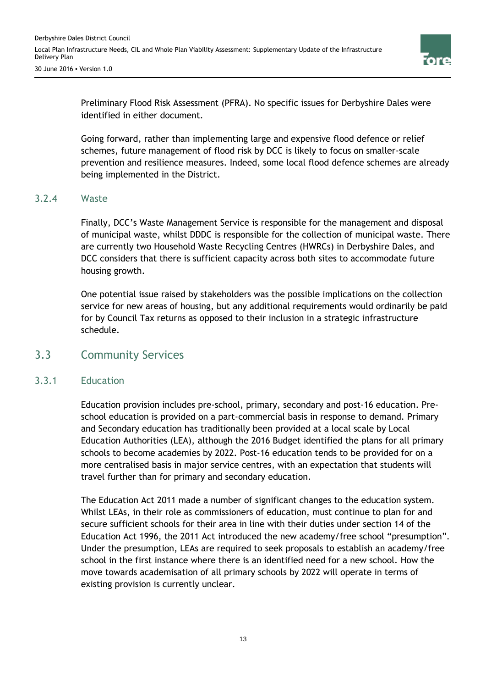

Preliminary Flood Risk Assessment (PFRA). No specific issues for Derbyshire Dales were identified in either document.

Going forward, rather than implementing large and expensive flood defence or relief schemes, future management of flood risk by DCC is likely to focus on smaller-scale prevention and resilience measures. Indeed, some local flood defence schemes are already being implemented in the District.

#### 3.2.4 Waste

Finally, DCC's Waste Management Service is responsible for the management and disposal of municipal waste, whilst DDDC is responsible for the collection of municipal waste. There are currently two Household Waste Recycling Centres (HWRCs) in Derbyshire Dales, and DCC considers that there is sufficient capacity across both sites to accommodate future housing growth.

One potential issue raised by stakeholders was the possible implications on the collection service for new areas of housing, but any additional requirements would ordinarily be paid for by Council Tax returns as opposed to their inclusion in a strategic infrastructure schedule.

#### 3.3 Community Services

#### 3.3.1 Education

Education provision includes pre-school, primary, secondary and post-16 education. Preschool education is provided on a part-commercial basis in response to demand. Primary and Secondary education has traditionally been provided at a local scale by Local Education Authorities (LEA), although the 2016 Budget identified the plans for all primary schools to become academies by 2022. Post-16 education tends to be provided for on a more centralised basis in major service centres, with an expectation that students will travel further than for primary and secondary education.

The Education Act 2011 made a number of significant changes to the education system. Whilst LEAs, in their role as commissioners of education, must continue to plan for and secure sufficient schools for their area in line with their duties under section 14 of the Education Act 1996, the 2011 Act introduced the new academy/free school "presumption". Under the presumption, LEAs are required to seek proposals to establish an academy/free school in the first instance where there is an identified need for a new school. How the move towards academisation of all primary schools by 2022 will operate in terms of existing provision is currently unclear.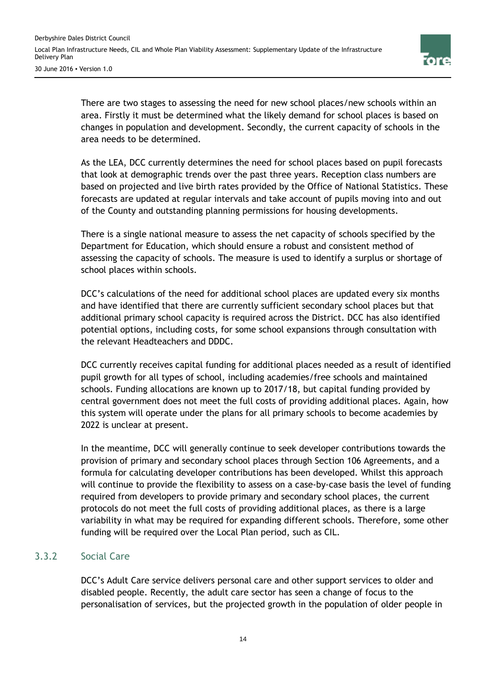

There are two stages to assessing the need for new school places/new schools within an area. Firstly it must be determined what the likely demand for school places is based on changes in population and development. Secondly, the current capacity of schools in the area needs to be determined.

As the LEA, DCC currently determines the need for school places based on pupil forecasts that look at demographic trends over the past three years. Reception class numbers are based on projected and live birth rates provided by the Office of National Statistics. These forecasts are updated at regular intervals and take account of pupils moving into and out of the County and outstanding planning permissions for housing developments.

There is a single national measure to assess the net capacity of schools specified by the Department for Education, which should ensure a robust and consistent method of assessing the capacity of schools. The measure is used to identify a surplus or shortage of school places within schools.

DCC's calculations of the need for additional school places are updated every six months and have identified that there are currently sufficient secondary school places but that additional primary school capacity is required across the District. DCC has also identified potential options, including costs, for some school expansions through consultation with the relevant Headteachers and DDDC.

DCC currently receives capital funding for additional places needed as a result of identified pupil growth for all types of school, including academies/free schools and maintained schools. Funding allocations are known up to 2017/18, but capital funding provided by central government does not meet the full costs of providing additional places. Again, how this system will operate under the plans for all primary schools to become academies by 2022 is unclear at present.

In the meantime, DCC will generally continue to seek developer contributions towards the provision of primary and secondary school places through Section 106 Agreements, and a formula for calculating developer contributions has been developed. Whilst this approach will continue to provide the flexibility to assess on a case-by-case basis the level of funding required from developers to provide primary and secondary school places, the current protocols do not meet the full costs of providing additional places, as there is a large variability in what may be required for expanding different schools. Therefore, some other funding will be required over the Local Plan period, such as CIL.

#### 3.3.2 Social Care

DCC's Adult Care service delivers personal care and other support services to older and disabled people. Recently, the adult care sector has seen a change of focus to the personalisation of services, but the projected growth in the population of older people in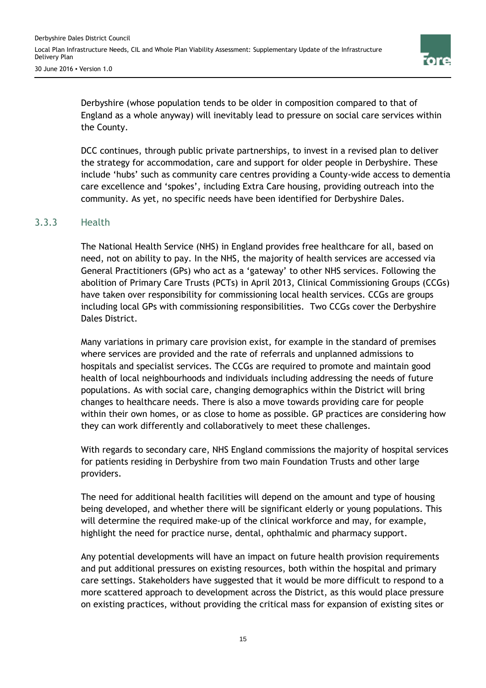

Derbyshire (whose population tends to be older in composition compared to that of England as a whole anyway) will inevitably lead to pressure on social care services within the County.

DCC continues, through public private partnerships, to invest in a revised plan to deliver the strategy for accommodation, care and support for older people in Derbyshire. These include 'hubs' such as community care centres providing a County-wide access to dementia care excellence and 'spokes', including Extra Care housing, providing outreach into the community. As yet, no specific needs have been identified for Derbyshire Dales.

#### 3.3.3 Health

The National Health Service (NHS) in England provides free healthcare for all, based on need, not on ability to pay. In the NHS, the majority of health services are accessed via General Practitioners (GPs) who act as a 'gateway' to other NHS services. Following the abolition of Primary Care Trusts (PCTs) in April 2013, Clinical Commissioning Groups (CCGs) have taken over responsibility for commissioning local health services. CCGs are groups including local GPs with commissioning responsibilities. Two CCGs cover the Derbyshire Dales District.

Many variations in primary care provision exist, for example in the standard of premises where services are provided and the rate of referrals and unplanned admissions to hospitals and specialist services. The CCGs are required to promote and maintain good health of local neighbourhoods and individuals including addressing the needs of future populations. As with social care, changing demographics within the District will bring changes to healthcare needs. There is also a move towards providing care for people within their own homes, or as close to home as possible. GP practices are considering how they can work differently and collaboratively to meet these challenges.

With regards to secondary care, NHS England commissions the majority of hospital services for patients residing in Derbyshire from two main Foundation Trusts and other large providers.

The need for additional health facilities will depend on the amount and type of housing being developed, and whether there will be significant elderly or young populations. This will determine the required make-up of the clinical workforce and may, for example, highlight the need for practice nurse, dental, ophthalmic and pharmacy support.

Any potential developments will have an impact on future health provision requirements and put additional pressures on existing resources, both within the hospital and primary care settings. Stakeholders have suggested that it would be more difficult to respond to a more scattered approach to development across the District, as this would place pressure on existing practices, without providing the critical mass for expansion of existing sites or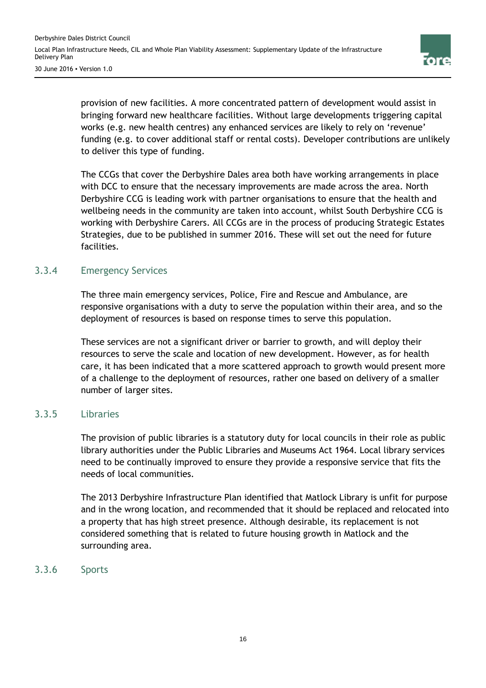

provision of new facilities. A more concentrated pattern of development would assist in bringing forward new healthcare facilities. Without large developments triggering capital works (e.g. new health centres) any enhanced services are likely to rely on 'revenue' funding (e.g. to cover additional staff or rental costs). Developer contributions are unlikely to deliver this type of funding.

The CCGs that cover the Derbyshire Dales area both have working arrangements in place with DCC to ensure that the necessary improvements are made across the area. North Derbyshire CCG is leading work with partner organisations to ensure that the health and wellbeing needs in the community are taken into account, whilst South Derbyshire CCG is working with Derbyshire Carers. All CCGs are in the process of producing Strategic Estates Strategies, due to be published in summer 2016. These will set out the need for future facilities.

#### 3.3.4 Emergency Services

The three main emergency services, Police, Fire and Rescue and Ambulance, are responsive organisations with a duty to serve the population within their area, and so the deployment of resources is based on response times to serve this population.

These services are not a significant driver or barrier to growth, and will deploy their resources to serve the scale and location of new development. However, as for health care, it has been indicated that a more scattered approach to growth would present more of a challenge to the deployment of resources, rather one based on delivery of a smaller number of larger sites.

#### 3.3.5 Libraries

The provision of public libraries is a statutory duty for local councils in their role as public library authorities under the Public Libraries and Museums Act 1964. Local library services need to be continually improved to ensure they provide a responsive service that fits the needs of local communities.

The 2013 Derbyshire Infrastructure Plan identified that Matlock Library is unfit for purpose and in the wrong location, and recommended that it should be replaced and relocated into a property that has high street presence. Although desirable, its replacement is not considered something that is related to future housing growth in Matlock and the surrounding area.

#### 3.3.6 Sports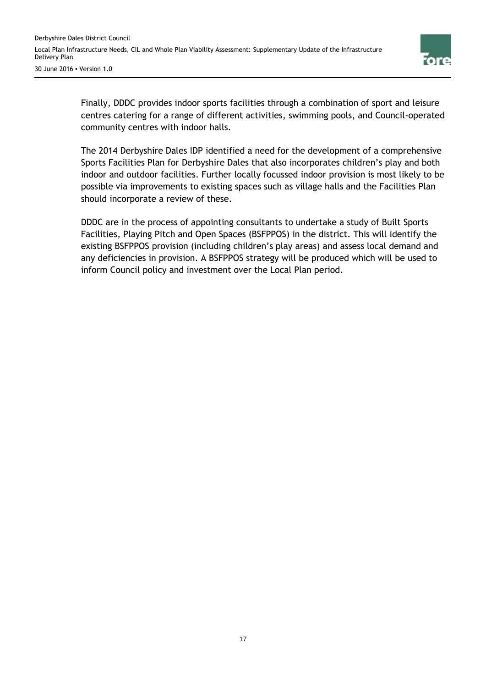

Finally, DDDC provides indoor sports facilities through a combination of sport and leisure centres catering for a range of different activities, swimming pools, and Council-operated community centres with indoor halls.

The 2014 Derbyshire Dales IDP identified a need for the development of a comprehensive Sports Facilities Plan for Derbyshire Dales that also incorporates children's play and both indoor and outdoor facilities. Further locally focussed indoor provision is most likely to be possible via improvements to existing spaces such as village halls and the Facilities Plan should incorporate a review of these.

DDDC are in the process of appointing consultants to undertake a study of Built Sports Facilities, Playing Pitch and Open Spaces (BSFPPOS) in the district. This will identify the existing BSFPPOS provision (including children's play areas) and assess local demand and any deficiencies in provision. A BSFPPOS strategy will be produced which will be used to inform Council policy and investment over the Local Plan period.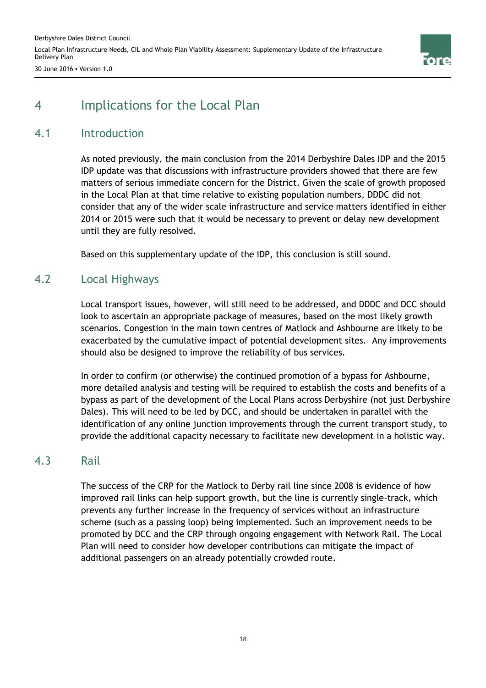Derbyshire Dales District Council Local Plan Infrastructure Needs, CIL and Whole Plan Viability Assessment: Supplementary Update of the Infrastructure Delivery Plan 30 June 2016 ▪ Version 1.0



## 4 Implications for the Local Plan

### 4.1 Introduction

As noted previously, the main conclusion from the 2014 Derbyshire Dales IDP and the 2015 IDP update was that discussions with infrastructure providers showed that there are few matters of serious immediate concern for the District. Given the scale of growth proposed in the Local Plan at that time relative to existing population numbers, DDDC did not consider that any of the wider scale infrastructure and service matters identified in either 2014 or 2015 were such that it would be necessary to prevent or delay new development until they are fully resolved.

Based on this supplementary update of the IDP, this conclusion is still sound.

### 4.2 Local Highways

Local transport issues, however, will still need to be addressed, and DDDC and DCC should look to ascertain an appropriate package of measures, based on the most likely growth scenarios. Congestion in the main town centres of Matlock and Ashbourne are likely to be exacerbated by the cumulative impact of potential development sites. Any improvements should also be designed to improve the reliability of bus services.

In order to confirm (or otherwise) the continued promotion of a bypass for Ashbourne, more detailed analysis and testing will be required to establish the costs and benefits of a bypass as part of the development of the Local Plans across Derbyshire (not just Derbyshire Dales). This will need to be led by DCC, and should be undertaken in parallel with the identification of any online junction improvements through the current transport study, to provide the additional capacity necessary to facilitate new development in a holistic way.

### 4.3 Rail

The success of the CRP for the Matlock to Derby rail line since 2008 is evidence of how improved rail links can help support growth, but the line is currently single-track, which prevents any further increase in the frequency of services without an infrastructure scheme (such as a passing loop) being implemented. Such an improvement needs to be promoted by DCC and the CRP through ongoing engagement with Network Rail. The Local Plan will need to consider how developer contributions can mitigate the impact of additional passengers on an already potentially crowded route.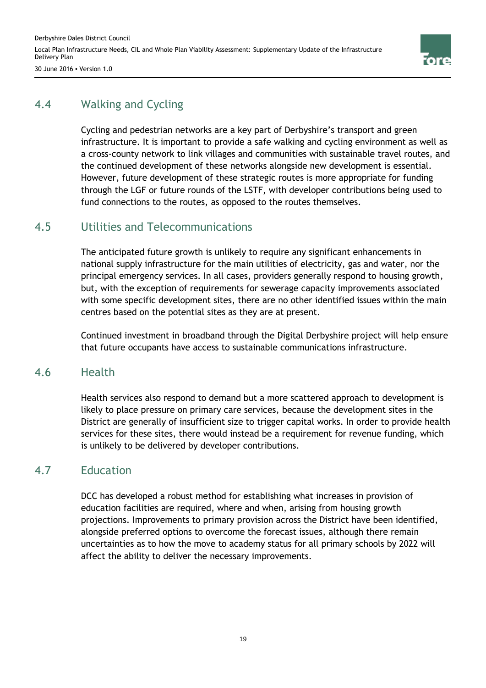

30 June 2016 ▪ Version 1.0

## 4.4 Walking and Cycling

Cycling and pedestrian networks are a key part of Derbyshire's transport and green infrastructure. It is important to provide a safe walking and cycling environment as well as a cross-county network to link villages and communities with sustainable travel routes, and the continued development of these networks alongside new development is essential. However, future development of these strategic routes is more appropriate for funding through the LGF or future rounds of the LSTF, with developer contributions being used to fund connections to the routes, as opposed to the routes themselves.

### 4.5 Utilities and Telecommunications

The anticipated future growth is unlikely to require any significant enhancements in national supply infrastructure for the main utilities of electricity, gas and water, nor the principal emergency services. In all cases, providers generally respond to housing growth, but, with the exception of requirements for sewerage capacity improvements associated with some specific development sites, there are no other identified issues within the main centres based on the potential sites as they are at present.

Continued investment in broadband through the Digital Derbyshire project will help ensure that future occupants have access to sustainable communications infrastructure.

### 4.6 Health

Health services also respond to demand but a more scattered approach to development is likely to place pressure on primary care services, because the development sites in the District are generally of insufficient size to trigger capital works. In order to provide health services for these sites, there would instead be a requirement for revenue funding, which is unlikely to be delivered by developer contributions.

### 4.7 Education

DCC has developed a robust method for establishing what increases in provision of education facilities are required, where and when, arising from housing growth projections. Improvements to primary provision across the District have been identified, alongside preferred options to overcome the forecast issues, although there remain uncertainties as to how the move to academy status for all primary schools by 2022 will affect the ability to deliver the necessary improvements.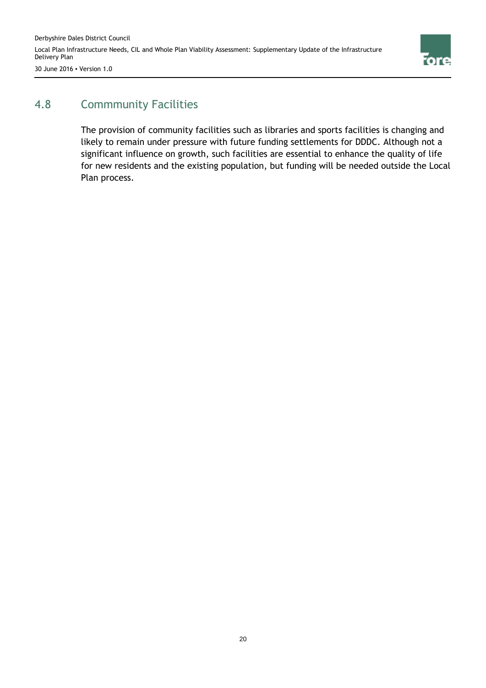

## 4.8 Commmunity Facilities

The provision of community facilities such as libraries and sports facilities is changing and likely to remain under pressure with future funding settlements for DDDC. Although not a significant influence on growth, such facilities are essential to enhance the quality of life for new residents and the existing population, but funding will be needed outside the Local Plan process.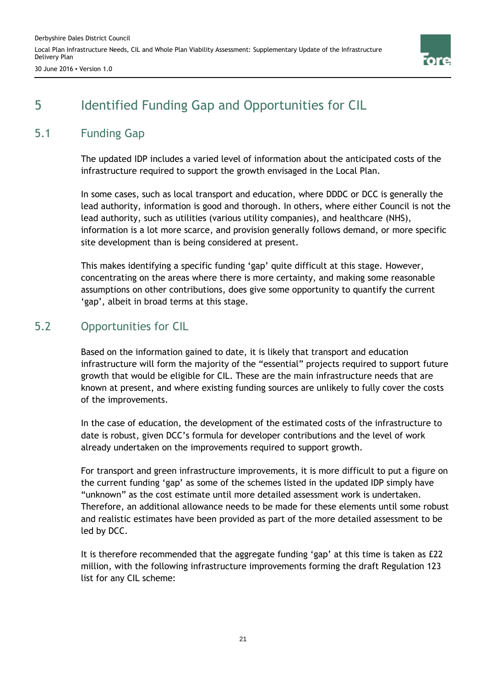

## 5 Identified Funding Gap and Opportunities for CIL

## 5.1 Funding Gap

The updated IDP includes a varied level of information about the anticipated costs of the infrastructure required to support the growth envisaged in the Local Plan.

In some cases, such as local transport and education, where DDDC or DCC is generally the lead authority, information is good and thorough. In others, where either Council is not the lead authority, such as utilities (various utility companies), and healthcare (NHS), information is a lot more scarce, and provision generally follows demand, or more specific site development than is being considered at present.

This makes identifying a specific funding 'gap' quite difficult at this stage. However, concentrating on the areas where there is more certainty, and making some reasonable assumptions on other contributions, does give some opportunity to quantify the current 'gap', albeit in broad terms at this stage.

## 5.2 Opportunities for CIL

Based on the information gained to date, it is likely that transport and education infrastructure will form the majority of the "essential" projects required to support future growth that would be eligible for CIL. These are the main infrastructure needs that are known at present, and where existing funding sources are unlikely to fully cover the costs of the improvements.

In the case of education, the development of the estimated costs of the infrastructure to date is robust, given DCC's formula for developer contributions and the level of work already undertaken on the improvements required to support growth.

For transport and green infrastructure improvements, it is more difficult to put a figure on the current funding 'gap' as some of the schemes listed in the updated IDP simply have "unknown" as the cost estimate until more detailed assessment work is undertaken. Therefore, an additional allowance needs to be made for these elements until some robust and realistic estimates have been provided as part of the more detailed assessment to be led by DCC.

It is therefore recommended that the aggregate funding 'gap' at this time is taken as £22 million, with the following infrastructure improvements forming the draft Regulation 123 list for any CIL scheme: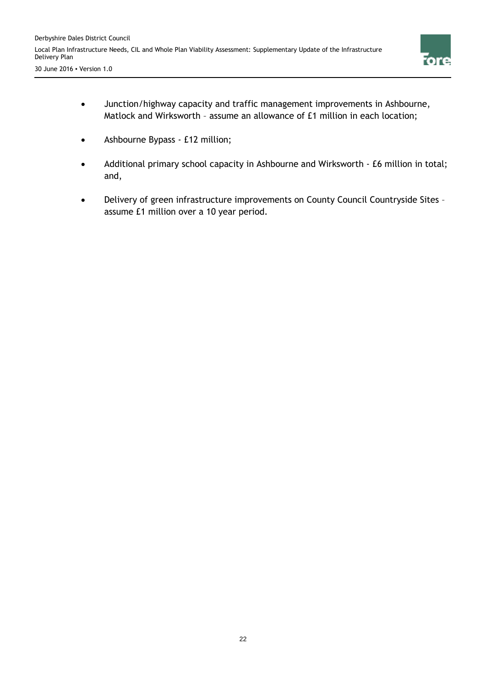

- Junction/highway capacity and traffic management improvements in Ashbourne, Matlock and Wirksworth – assume an allowance of £1 million in each location;
- Ashbourne Bypass £12 million;
- Additional primary school capacity in Ashbourne and Wirksworth £6 million in total; and,
- Delivery of green infrastructure improvements on County Council Countryside Sites assume £1 million over a 10 year period.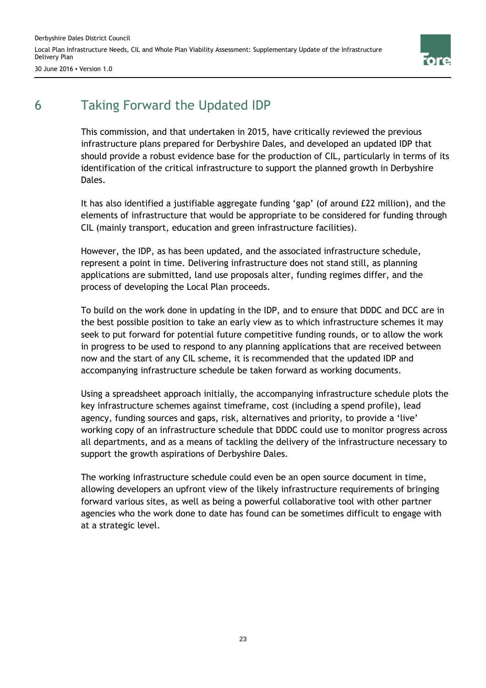Derbyshire Dales District Council Local Plan Infrastructure Needs, CIL and Whole Plan Viability Assessment: Supplementary Update of the Infrastructure Delivery Plan



30 June 2016 ▪ Version 1.0

## 6 Taking Forward the Updated IDP

This commission, and that undertaken in 2015, have critically reviewed the previous infrastructure plans prepared for Derbyshire Dales, and developed an updated IDP that should provide a robust evidence base for the production of CIL, particularly in terms of its identification of the critical infrastructure to support the planned growth in Derbyshire Dales.

It has also identified a justifiable aggregate funding 'gap' (of around £22 million), and the elements of infrastructure that would be appropriate to be considered for funding through CIL (mainly transport, education and green infrastructure facilities).

However, the IDP, as has been updated, and the associated infrastructure schedule, represent a point in time. Delivering infrastructure does not stand still, as planning applications are submitted, land use proposals alter, funding regimes differ, and the process of developing the Local Plan proceeds.

To build on the work done in updating in the IDP, and to ensure that DDDC and DCC are in the best possible position to take an early view as to which infrastructure schemes it may seek to put forward for potential future competitive funding rounds, or to allow the work in progress to be used to respond to any planning applications that are received between now and the start of any CIL scheme, it is recommended that the updated IDP and accompanying infrastructure schedule be taken forward as working documents.

Using a spreadsheet approach initially, the accompanying infrastructure schedule plots the key infrastructure schemes against timeframe, cost (including a spend profile), lead agency, funding sources and gaps, risk, alternatives and priority, to provide a 'live' working copy of an infrastructure schedule that DDDC could use to monitor progress across all departments, and as a means of tackling the delivery of the infrastructure necessary to support the growth aspirations of Derbyshire Dales.

The working infrastructure schedule could even be an open source document in time, allowing developers an upfront view of the likely infrastructure requirements of bringing forward various sites, as well as being a powerful collaborative tool with other partner agencies who the work done to date has found can be sometimes difficult to engage with at a strategic level.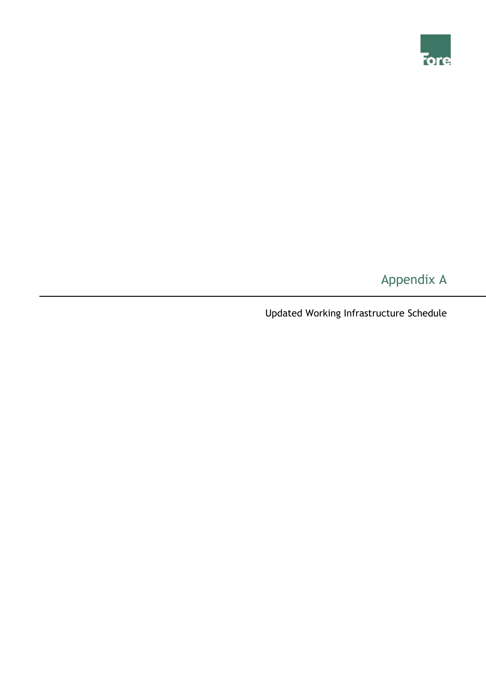

# Appendix A

Updated Working Infrastructure Schedule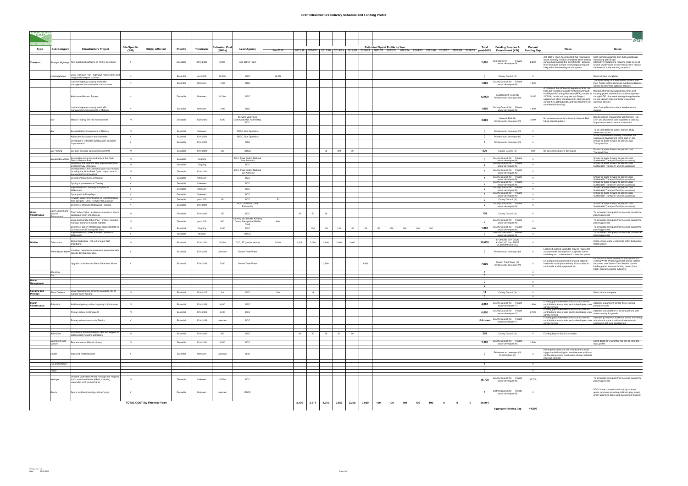#### **Draft Infrastructure Delivery Schedule and Funding Profile**

| <b>ALE</b>                |                            |                                                                                        |                      |                                       |                        |                    |               |                                                           |          |       |       |       |       |       |       | rore                                                                                                                                                                                                                                                                                                                                                                                                                                                                                                                                      |
|---------------------------|----------------------------|----------------------------------------------------------------------------------------|----------------------|---------------------------------------|------------------------|--------------------|---------------|-----------------------------------------------------------|----------|-------|-------|-------|-------|-------|-------|-------------------------------------------------------------------------------------------------------------------------------------------------------------------------------------------------------------------------------------------------------------------------------------------------------------------------------------------------------------------------------------------------------------------------------------------------------------------------------------------------------------------------------------------|
| <b>RICT COLIN</b><br>Type | Sub-Category               | <b>Infrastructure Project</b>                                                          | <b>Site Specific</b> | Site(s) Affected                      | Priority               | Timeframe          | stimated Cost | <b>Lead Agency</b>                                        |          |       |       |       |       |       |       | <b>Estimated Spend Profile by Year</b><br>Total<br><b>Funding Sources &amp;</b><br>Current<br>Risks<br><b>Notes</b>                                                                                                                                                                                                                                                                                                                                                                                                                       |
|                           |                            |                                                                                        | (Y/N)                |                                       |                        |                    | $($ £000s $)$ |                                                           | Pre-2015 |       |       |       |       |       |       | 2015/16 2016/17 2017/18 2018/19 2019/20 2020/21 2021/22 2022/23 2023/24 2024/25 2025/26 2026/27 2027/28 2028/29 post-2015 Commitment (Y/N) Funding Gap                                                                                                                                                                                                                                                                                                                                                                                    |
| <b>Transport</b>          |                            | Strategic Highways New quiet road surfacing on A50 in Doveridge                        | Y                    |                                       | Desirable              | 2016-2026          | 2,800         | A50 DBFO Team                                             |          |       |       |       |       |       |       | A50 DBFO Team has indicated that resurfacing  Cost estimate assumes 3km dual carriageway<br>would normally only be considered when existing resurfacing at £50/sqm<br>A50 DBFO (N)<br>Private<br>2,800<br>2,800<br>surface has reached the end of its life - process Alternative mitigation to reducing noise levels at<br>sector developer (N)<br>likely to require surface retexturing/planing and source could include on-site measures to reduce<br>inlay with a thin wearing course system<br>the levels of noise reaching receptors |
|                           | Local Highways             | Local Transport Plan - highways maintenance and                                        | N                    |                                       | Essential              | pre-2015           | 19,370        | DCC                                                       | 19,370   |       |       |       |       |       |       | $\Omega$<br>County Council (Y)<br>$\overline{0}$<br>Works already completed                                                                                                                                                                                                                                                                                                                                                                                                                                                               |
|                           |                            | ntegrated transport schemes<br>Junction/highway capacity and traffic                   | N                    |                                       | Essential              | Unknown            | 1,000         | DCC                                                       |          |       |       |       |       |       |       | Transport Study commissioned to inform Local<br>County Council (N) Private<br>1,000<br>1,000<br>Plan. Needs testing alongside Ashbourne Bypass                                                                                                                                                                                                                                                                                                                                                                                            |
|                           |                            | management improvements in Ashbourne                                                   |                      |                                       |                        |                    |               |                                                           |          |       |       |       |       |       |       | sector developer (N)<br>options to determine optimum scheme<br>A version of the Ashbourne Bypass scheme has                                                                                                                                                                                                                                                                                                                                                                                                                               |
|                           |                            | Ashbourne Western Bypass                                                               | N                    |                                       | Desirable              | Unknown            | 12,000        | DCC                                                       |          |       |       |       |       |       |       | been put forward previously for funding through Needs further review against economic and<br>the Regional Funding Allocation (RFA) process in housing growth benefits that could be exploited<br>Local Growth Fund (N)<br>12,000<br>12,000<br>2005/06, but did not progress to a Stage 2<br>through LGF, plus needs testing alongside other<br>Private sector developer (N)<br>assessment when compared with other projects on-line capacity improvements to ascertain<br>across the East Midlands, and was therefore not optimium scheme |
|                           |                            | Junction/highway capacity and traffic<br>management improvements in Matlock            | N                    |                                       | Essential              | Unknown            | 1,000         | DCC                                                       |          |       |       |       |       |       |       | shortlisted for funding.<br>Joint County/District study of detailed works<br>County Council (N) Private<br>1.000<br>1,000<br>sector developer (N)<br>required                                                                                                                                                                                                                                                                                                                                                                             |
|                           | Rail                       | Matlock - Derby line rail improvements                                                 |                      |                                       | Desirable              | 2020-2030          | 3,000         | Derwent Valley Line<br>Community Rail Partnership,<br>DCC |          |       |       |       |       |       |       | Needs ongoing engagement with Network Rail<br>Network Rail (N)<br>No schemes currently included in Network Rail<br>CRP and DCC have both requested a passing<br>3,000<br>3,000<br>Private sector developer (N)<br>future spending plans<br>loop in responses to recent consultation                                                                                                                                                                                                                                                       |
|                           |                            | Bus reliability improvements in Matlock                                                | N                    |                                       | Essential              | Unknown            |               | DDDC, Bus Operators                                       |          |       |       |       |       |       |       | To be considered as part of Matlock study<br>0 Private sector developer (N)<br>$\overline{0}$<br>referenced above                                                                                                                                                                                                                                                                                                                                                                                                                         |
|                           |                            | Ashbourne bus station improvements                                                     | Y                    |                                       | Essential              | 2016-2021          |               | DDDC, Bus Operators                                       |          |       |       |       |       |       |       | Some improvements already committed, but<br>0 Private sector developer (Y)<br>$\overline{0}$<br>associated development yet to start on site                                                                                                                                                                                                                                                                                                                                                                                               |
|                           |                            | Doveridge to Uttoxeter quality public transport<br>improvements                        | Y                    |                                       | Desirable              | 2016-2021          |               | DCC                                                       |          |       |       |       |       |       |       | Should be taken forward as part of Local<br>0 Private sector developer (N)<br>$\overline{0}$<br><b>Transport Plan</b>                                                                                                                                                                                                                                                                                                                                                                                                                     |
|                           | Car Parking                | Car park dynamic signing improvements                                                  | N                    |                                       | Desirable              | 2016-2021          | 500           | <b>DDDC</b>                                               |          |       |       | 50    | 400   | 50    |       | Should be taken forward as part of Local<br>500<br>County Council (N)<br>500<br>No concept design yet developed<br><b>Transport Plan</b>                                                                                                                                                                                                                                                                                                                                                                                                  |
|                           |                            | stainable travel into and around the Peak                                              |                      |                                       |                        |                    |               | <b>OCC, Peak District Nation</b>                          |          |       |       |       |       |       |       | County Council (N) Private<br>Should be taken forward as part of Local                                                                                                                                                                                                                                                                                                                                                                                                                                                                    |
|                           | Sustainable Modes          | District National Park<br>Delivery of the Rights of Way Improvement Plan               | N<br>N               |                                       | Desirable<br>Desirable | Ongoing<br>Ongoing |               | Park Authority<br>DCC                                     |          |       |       |       |       |       |       | $\overline{\mathbf{0}}$<br>$\Omega$<br>Sustainable Transport Fund (or successor)<br>sector developer (N)<br>County Council (N) Private<br>Should be taken forward as part of Local<br>$\mathbf 0$<br>$\overline{0}$                                                                                                                                                                                                                                                                                                                       |
|                           |                            | and Greenway Strategies<br>Development of the Greenway and cycle network               |                      |                                       |                        |                    |               | DCC, Peak District National                               |          |       |       |       |       |       |       | Sustainable Transport Fund (or successor)<br>sector developer (N)<br>County Council (N) Private                                                                                                                                                                                                                                                                                                                                                                                                                                           |
|                           |                            | including the White Peak Cycle Loop to extend<br>the Monsal Trail to Matlock           |                      |                                       | Desirable              | 2016-2021          |               | Park Authority                                            |          |       |       |       |       |       |       | $\mathbf 0$<br>$\Omega$<br>sector developer (N)<br>County Council (N) Private<br>Should be taken forward as part of Local                                                                                                                                                                                                                                                                                                                                                                                                                 |
|                           |                            | Cycling improvements in Matlock                                                        | Y                    |                                       | Desirable              | Unknown            |               | DCC                                                       |          |       |       |       |       |       |       | $\mathbf{0}$<br>$\Omega$<br>sector developer (N)<br>Sustainable Transport Fund (or successor)<br>County Council (N) Private<br>Should be taken forward as part of Local                                                                                                                                                                                                                                                                                                                                                                   |
|                           |                            | Cycling improvements in Tansley<br>Improvements to footways/footpaths in               | Y<br>Y               |                                       | Desirable<br>Desirable | Unknown<br>Unknown |               | DCC<br>DCC                                                |          |       |       |       |       |       |       | $\mathbf{0}$<br>$\sqrt{2}$<br>Sustainable Transport Fund (or successor)<br>sector developer (N)<br>County Council (N) Private<br>Should be taken forward as part of Local<br>$\mathbf 0$<br>$\overline{0}$                                                                                                                                                                                                                                                                                                                                |
|                           |                            | Wirksworth<br>Cycle paths in Doveridge                                                 | Y                    |                                       | Desirable              | Unknown            |               | DCC                                                       |          |       |       |       |       |       |       | Sustainable Transport Fund (or successor)<br>sector developer (N)<br>County Council (N) Private<br>Should be taken forward as part of Local<br>$\mathbf 0$<br>$\overline{0}$                                                                                                                                                                                                                                                                                                                                                              |
|                           |                            | Towpath improvement works on Cromford Canal                                            | N                    |                                       | Desirable              | pre-2015           | 50            | DCC                                                       | 50       |       |       |       |       |       |       | sector developer (N)<br>Sustainable Transport Fund (or successor)<br>County Council (Y)<br>$\overline{\mathbf{0}}$<br>$\overline{\phantom{0}}$                                                                                                                                                                                                                                                                                                                                                                                            |
|                           |                            | rom Gregory Tunnel to High Peak Junction<br>Delivery of Strategic Waterways Priorities | N                    |                                       | Desirable              | 2016-2021          |               | DCC, Cromford Canal<br>Partnership                        |          |       |       |       |       |       |       | County Council (N) Private<br>Should be taken forward as part of Local<br>$\overline{0}$<br>$\Omega$<br>sector developer (N)<br>Sustainable Transport Fund (or successor)                                                                                                                                                                                                                                                                                                                                                                 |
|                           | Open Spaces and<br>Natural | Trent Valley Vision - evidence collection to inform                                    |                      |                                       | Desirable              | 2016-2021          | 150           | <b>DCC</b>                                                |          | 50    | 50    | 50    |       |       |       | To be funded principally from sources outside the<br>150<br>$\overline{0}$                                                                                                                                                                                                                                                                                                                                                                                                                                                                |
| Infrastructure            | :nvironment                | landscape vision and strategy<br>Local Biodiversity Action Plan - protect, maintain,   | <b>N</b>             |                                       | Desirable              | pre-2015           | 600           | ming and Wildlife Advisory<br>Group, Derbyshire Wildlife  | 600      |       |       |       |       |       |       | County Council (Y)<br>planning process<br>County Council (N) Private<br>To be funded principally from sources outside the<br>$\Omega$<br>- 0                                                                                                                                                                                                                                                                                                                                                                                              |
|                           |                            | manage, enhance & create habitats<br>Delivery of Green Infrastructure improvements on  |                      |                                       |                        |                    |               | Trust                                                     |          |       |       |       |       |       |       | sector developer (N)<br>planning process<br>To be funded principally from sources outside the<br>County Council (N) Private                                                                                                                                                                                                                                                                                                                                                                                                               |
|                           |                            | County Council Countryside Sites<br>Improvements to parks and open spaces in           | N<br>Y               |                                       | Essential<br>Desirable | Ongoing<br>Unkown  | 1.000         | <b>DCC</b><br><b>DDDC</b>                                 |          |       | 100   | 100   | 100   | 100   | 100   | 1,000<br>1,000<br>100<br>100<br>100<br>100<br>100<br>sector developer (N)<br>planning process<br>District Council (N) Private<br>To be funded principally from sources outside the<br>$\mathbf{0}$<br>$\sim$                                                                                                                                                                                                                                                                                                                              |
| ilities                   | <sup>T</sup> elecomms      | Wirksworth<br>Digital Derbyshire - roll-out of super-fast                              | N                    |                                       | Essential              | 2016-2021          | 15,000        | DCC, BT (private sector)                                  | 5,000    | 2,000 | 2,000 | 2,000 | 2,000 | 2,000 |       | sector developer (N)<br>planning process<br>£7,390,000 from BDUK<br>Costs shown relate to elements within Derbyshire<br>10,000<br>£2,500,000 from ERDF<br>$\overline{0}$                                                                                                                                                                                                                                                                                                                                                                  |
|                           | Water/Waste Water          | broadband<br>Localised capacity improvements associated with                           |                      |                                       |                        |                    |               |                                                           |          |       |       |       |       |       |       | <b>Dales District</b><br>£4,890,000 from DCC<br>Localised capacity upgrades may be required to                                                                                                                                                                                                                                                                                                                                                                                                                                            |
|                           |                            | specific development sites                                                             |                      |                                       | Essential              | 2016-2026          | Unknown       | Severn Trent Water                                        |          |       |       |       |       |       |       | Private sector developer (N)<br>$\mathbf{0}$<br>$\Omega$<br>accommodate development, subject to further<br>modelling and confirmation of connection points<br>Expansion of WTW feasible on and adjacent to                                                                                                                                                                                                                                                                                                                                |
|                           |                            | Upgrade to Ashbourne Water Treatment Works                                             |                      |                                       | Essential              | 2016-2026          | 7.000         | Severn Trent Water                                        |          |       |       | 3,500 |       |       | 3,500 | EA and planning approval of phased capacity<br>existing WTW. Phased approach allows costs to<br>Severn Trent Water (Y)<br>7,000<br>increases may impact delivery. Costs stated do be spread over Severn Trent Water's current<br>$\overline{0}$<br>Private sector developer (N)<br>not include ancillary pipework etc.<br>funding period and next funding period (from<br>2020). Spending profile indicative.                                                                                                                             |
|                           | Electricity<br>Gas         |                                                                                        |                      |                                       |                        |                    |               |                                                           |          |       |       |       |       |       |       | $\sim$                                                                                                                                                                                                                                                                                                                                                                                                                                                                                                                                    |
|                           |                            |                                                                                        |                      |                                       |                        |                    |               |                                                           |          |       |       |       |       |       |       | $\mathbf 0$<br>$\overline{0}$                                                                                                                                                                                                                                                                                                                                                                                                                                                                                                             |
| <u>Management</u>         |                            |                                                                                        |                      |                                       |                        |                    |               |                                                           |          |       |       |       |       |       |       |                                                                                                                                                                                                                                                                                                                                                                                                                                                                                                                                           |
| ooding and<br>)rainage    | Flood Defence              | Local flood defence schemes to reduce risk of<br>urface water flooding                 | N                    |                                       | Essential              | 2016/2017          | 314           | DCC                                                       | 300      |       | 14    |       |       |       |       | 14<br>$\overline{0}$<br>County Council (Y)<br>Works almost complete                                                                                                                                                                                                                                                                                                                                                                                                                                                                       |
| Social<br>Infrastructure  | lucation                   | Additional primary school capacity in Ashbourne                                        |                      |                                       | Essential              | 2016-2026          | 4,000         | DCC                                                       |          |       |       |       |       |       |       | Funding gap shown takes into account planned<br>Funding gap shown takes into account planned<br>contributions from private sector developers under Assumes expansions across three existing<br>acrood formula<br>County Council (N) Private<br>4,000<br>1,800<br>sector developer (Y)                                                                                                                                                                                                                                                     |
|                           |                            | Primary school in Wirksworth                                                           |                      |                                       | Essential              | 2016-2026          | 6.000         | <b>DCC</b>                                                |          |       |       |       |       |       |       | agreed formula<br>Funding gap shown takes into account planned<br>County Council (N) Private<br>Funding gap snown takes into account planned<br>contributions from private sector developers under Assumes consolidation of existing schools with<br>acrood formula<br>6.000<br>2,700                                                                                                                                                                                                                                                     |
|                           |                            |                                                                                        |                      |                                       |                        |                    |               |                                                           |          |       |       |       |       |       |       | sector developer (Y)<br>agreed formula<br>Funding gap shown takes into account planned Assumes provision of additional places at existing                                                                                                                                                                                                                                                                                                                                                                                                 |
|                           |                            | Primary schools across the District                                                    | Y                    |                                       | Essential              | 2016-2026          | Unknown       | DCC                                                       |          |       |       |       |       |       |       | County Council (N) Private<br>Unknown<br>contributions from private sector developers under schools and some provision of new schools<br>sector developer (Y)<br>associated with new development<br>agreed formula                                                                                                                                                                                                                                                                                                                        |
|                           |                            | vision of accommodation, care and support for                                          |                      |                                       |                        |                    |               |                                                           |          |       |       |       |       |       |       |                                                                                                                                                                                                                                                                                                                                                                                                                                                                                                                                           |
|                           | Adult Care                 | older people including ExtraCare                                                       | N                    |                                       | Essential              | 2016-2021          | 200           | DCC                                                       |          | 50    | 50    | 50    | 50    | 50    |       | 250<br>County Council (Y)<br>$\overline{0}$<br>Funding beyond 2020 is uncertain                                                                                                                                                                                                                                                                                                                                                                                                                                                           |
|                           | Community and<br>Culture   | Replacement of Matlock Library                                                         | N                    |                                       | Desirable              | 2016-2021          | 2,500         | DCC                                                       |          |       |       |       |       |       |       | County Council (N) Private<br>Some doubt as to whether this can be linked to<br>2,500<br>2.500<br>sector developer (N)<br>local growth                                                                                                                                                                                                                                                                                                                                                                                                    |
|                           | Health                     | Improved health facilities                                                             |                      |                                       | Essential              | Unknown            | Unknown       | <b>NHS</b>                                                |          |       |       |       |       |       |       | Development sites are not of sufficient scale to<br>Private sector developer (N)<br>trigger capital funding but would require additional<br>$\Omega$<br>NHS England (N)<br>staffing resources to meet needs of new residents<br>(revenue funding).                                                                                                                                                                                                                                                                                        |
|                           | Fire and Rescue            |                                                                                        |                      |                                       |                        |                    |               |                                                           |          |       |       |       |       |       |       |                                                                                                                                                                                                                                                                                                                                                                                                                                                                                                                                           |
|                           | Police                     |                                                                                        |                      |                                       |                        |                    |               |                                                           |          |       |       |       |       |       |       | $\Omega$<br>$\sim$                                                                                                                                                                                                                                                                                                                                                                                                                                                                                                                        |
|                           |                            | Derwent Valley Mills World Heritage Site Projects                                      |                      |                                       |                        |                    |               |                                                           |          |       |       |       |       |       |       |                                                                                                                                                                                                                                                                                                                                                                                                                                                                                                                                           |
|                           | Heritage                   | at Cromford and Matlock Bath, including<br>restoration of Cromford Canal               |                      |                                       | Desirable              | Unknown            | 15,700        | DCC                                                       |          |       |       |       |       |       |       | County Council (N) Private<br>To be funded principally from sources outside the<br>15,700<br>15,700<br>sector developer (N)<br>planning process                                                                                                                                                                                                                                                                                                                                                                                           |
|                           | Sports                     | Sports facilities including children's play                                            |                      |                                       | Desirable              | Unknown            | Unknown       | DDDC                                                      |          |       |       |       |       |       |       | DDDC have commissioned a study to asses<br>District Council (N) Private<br>$\overline{0}$<br>sports provision (including children's play areas)<br>sector developer (N)<br>which will inform policy and investement strategy                                                                                                                                                                                                                                                                                                              |
|                           |                            |                                                                                        |                      | <b>TOTAL COST (by Financial Year)</b> |                        |                    |               |                                                           |          | 2,100 | 2,214 | 5,750 | 2,550 | 2,200 | 3,600 | 100<br>100<br>100<br>100<br>100<br>$\overline{\mathbf{0}}$<br>$\bullet$<br>$\overline{\mathbf{0}}$<br>66,914<br>Aggregate Funding Gap 44,000                                                                                                                                                                                                                                                                                                                                                                                              |